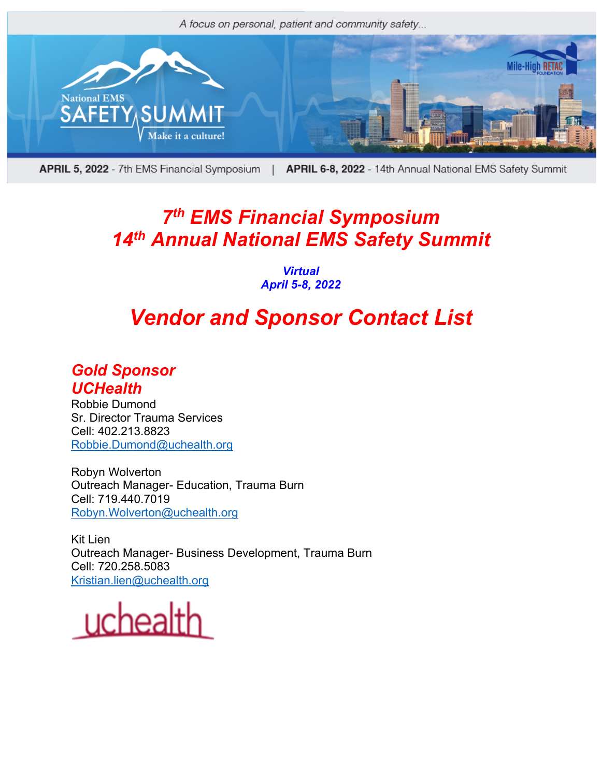

**APRIL 5, 2022** - 7th EMS Financial Symposium | APRIL 6-8, 2022 - 14th Annual National EMS Safety Summit

## *7th EMS Financial Symposium 14th Annual National EMS Safety Summit*

#### *Virtual April 5-8, 2022*

# *Vendor and Sponsor Contact List*

#### *Gold Sponsor UCHealth*

Robbie Dumond Sr. Director Trauma Services Cell: 402.213.8823 Robbie.Dumond@uchealth.org

Robyn Wolverton Outreach Manager- Education, Trauma Burn Cell: 719.440.7019 Robyn.Wolverton@uchealth.org

Kit Lien Outreach Manager- Business Development, Trauma Burn Cell: 720.258.5083 Kristian.lien@uchealth.org

uchealth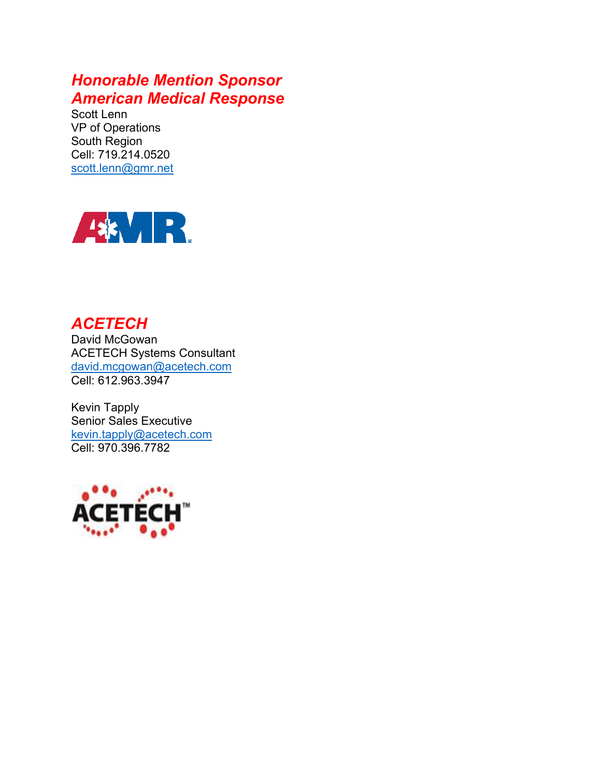## *Honorable Mention Sponsor American Medical Response*

Scott Lenn VP of Operations South Region Cell: 719.214.0520 scott.lenn@gmr.net



## *ACETECH*

David McGowan ACETECH Systems Consultant david.mcgowan@acetech.com Cell: 612.963.3947

Kevin Tapply Senior Sales Executive kevin.tapply@acetech.com Cell: 970.396.7782

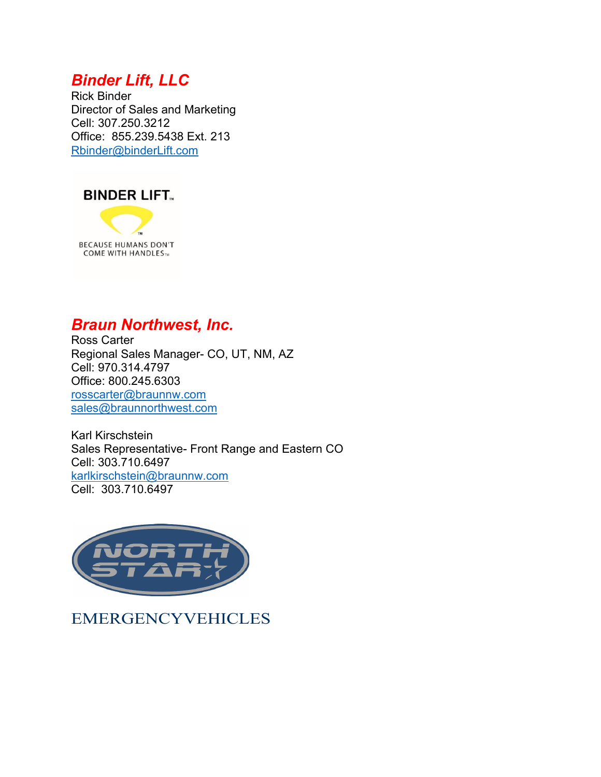## *Binder Lift, LLC*

Rick Binder Director of Sales and Marketing Cell: 307.250.3212 Office: 855.239.5438 Ext. 213 Rbinder@binderLift.com



**BECAUSE HUMANS DON'T COME WITH HANDLES**TM

### *Braun Northwest, Inc.*

Ross Carter Regional Sales Manager- CO, UT, NM, AZ Cell: 970.314.4797 Office: 800.245.6303 rosscarter@braunnw.com sales@braunnorthwest.com

Karl Kirschstein Sales Representative- Front Range and Eastern CO Cell: 303.710.6497 karlkirschstein@braunnw.com Cell: 303.710.6497



EMERGENCYVEHICLES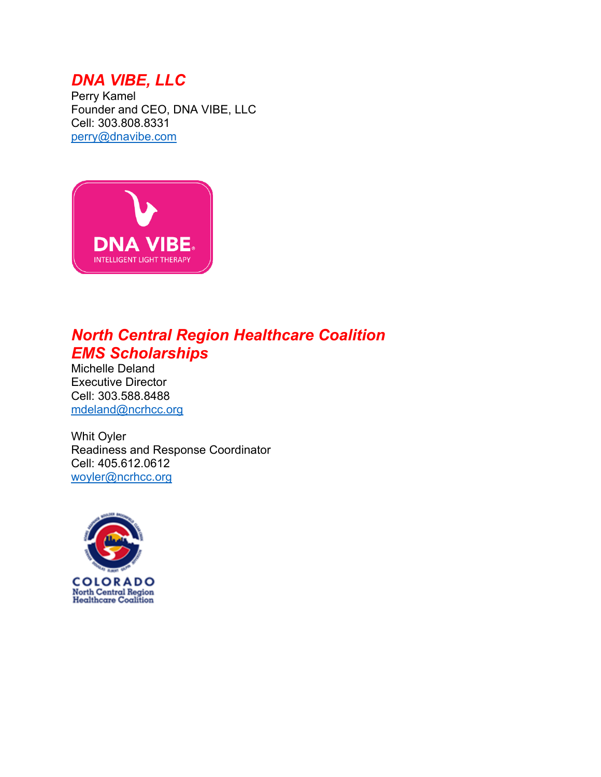## *DNA VIBE, LLC*

Perry Kamel Founder and CEO, DNA VIBE, LLC Cell: 303.808.8331 perry@dnavibe.com



## *North Central Region Healthcare Coalition EMS Scholarships*

Michelle Deland Executive Director Cell: 303.588.8488 mdeland@ncrhcc.org

Whit Oyler Readiness and Response Coordinator Cell: 405.612.0612 woyler@ncrhcc.org

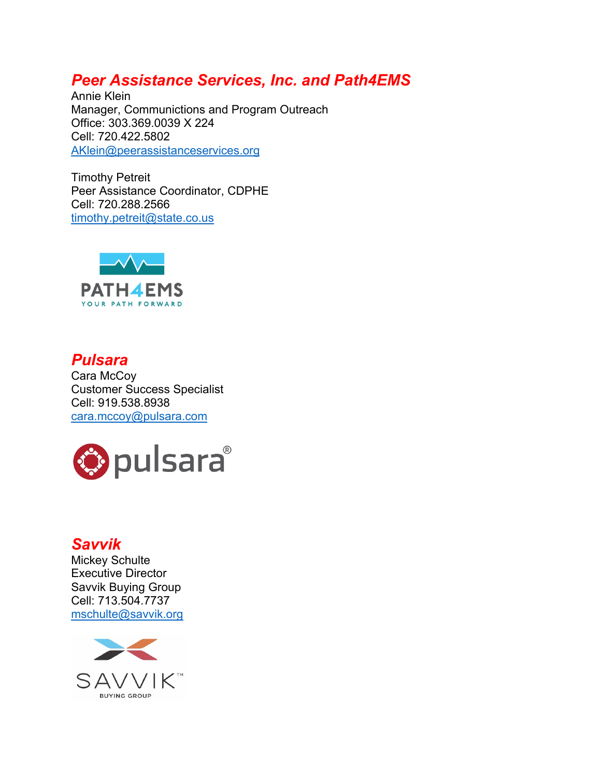## *Peer Assistance Services, Inc. and Path4EMS*

Annie Klein Manager, Communictions and Program Outreach Office: 303.369.0039 X 224 Cell: 720.422.5802 AKlein@peerassistanceservices.org

Timothy Petreit Peer Assistance Coordinator, CDPHE Cell: 720.288.2566 timothy.petreit@state.co.us



*Pulsara* Cara McCoy Customer Success Specialist Cell: 919.538.8938 cara.mccoy@pulsara.com



#### *Savvik*

Mickey Schulte Executive Director Savvik Buying Group Cell: 713.504.7737 mschulte@savvik.org

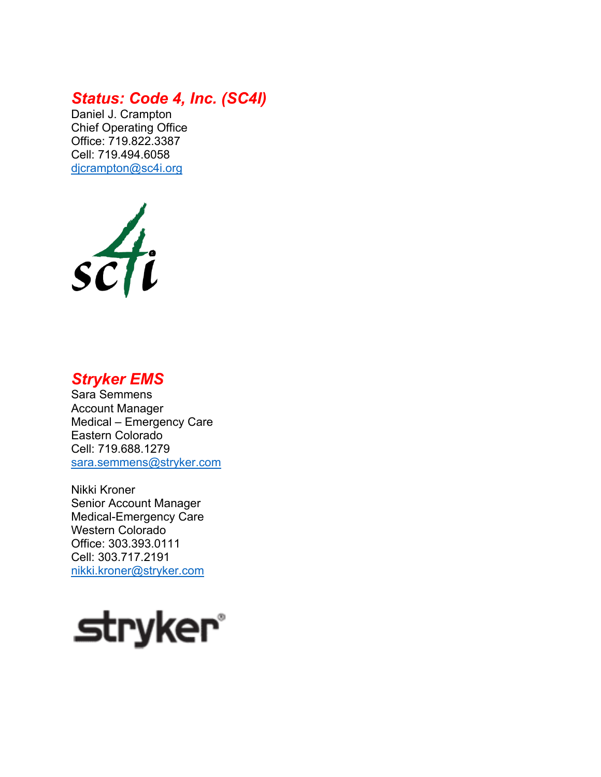### *Status: Code 4, Inc. (SC4I)*

Daniel J. Crampton Chief Operating Office Office: 719.822.3387 Cell: 719.494.6058 djcrampton@sc4i.org



#### *Stryker EMS*

Sara Semmens Account Manager Medical – Emergency Care Eastern Colorado Cell: 719.688.1279 sara.semmens@stryker.com

Nikki Kroner Senior Account Manager Medical-Emergency Care Western Colorado Office: 303.393.0111 Cell: 303.717.2191 nikki.kroner@stryker.com